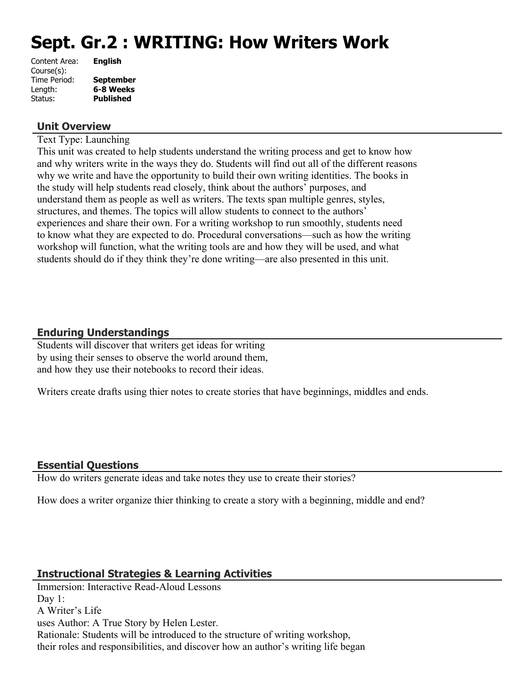# **Sept. Gr.2 : WRITING: How Writers Work**

| Content Area: | <b>English</b>   |
|---------------|------------------|
| Course(s):    |                  |
| Time Period:  | <b>September</b> |
| Length:       | 6-8 Weeks        |
| Status:       | <b>Published</b> |
|               |                  |

#### **Unit Overview**

Text Type: Launching

This unit was created to help students understand the writing process and get to know how and why writers write in the ways they do. Students will find out all of the different reasons why we write and have the opportunity to build their own writing identities. The books in the study will help students read closely, think about the authors' purposes, and understand them as people as well as writers. The texts span multiple genres, styles, structures, and themes. The topics will allow students to connect to the authors' experiences and share their own. For a writing workshop to run smoothly, students need to know what they are expected to do. Procedural conversations—such as how the writing workshop will function, what the writing tools are and how they will be used, and what students should do if they think they're done writing—are also presented in this unit.

## **Enduring Understandings**

Students will discover that writers get ideas for writing by using their senses to observe the world around them, and how they use their notebooks to record their ideas.

Writers create drafts using thier notes to create stories that have beginnings, middles and ends.

#### **Essential Questions**

How do writers generate ideas and take notes they use to create their stories?

How does a writer organize thier thinking to create a story with a beginning, middle and end?

#### **Instructional Strategies & Learning Activities**

Immersion: Interactive Read-Aloud Lessons Day 1: A Writer's Life uses Author: A True Story by Helen Lester. Rationale: Students will be introduced to the structure of writing workshop, their roles and responsibilities, and discover how an author's writing life began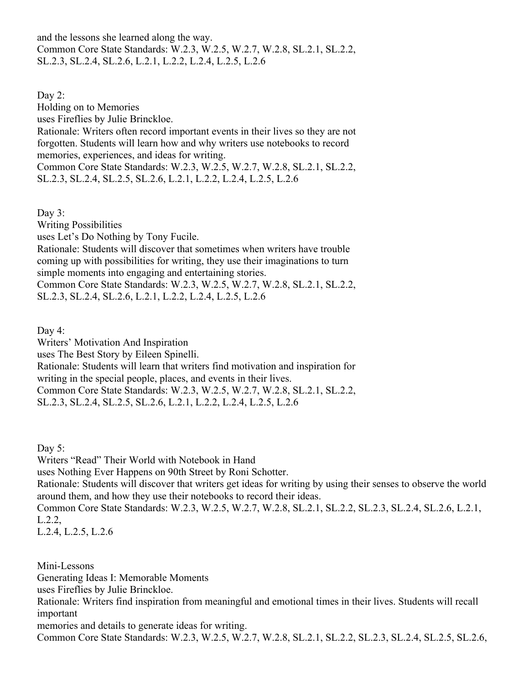and the lessons she learned along the way. Common Core State Standards: W.2.3, W.2.5, W.2.7, W.2.8, SL.2.1, SL.2.2, SL.2.3, SL.2.4, SL.2.6, L.2.1, L.2.2, L.2.4, L.2.5, L.2.6

Day 2: Holding on to Memories uses Fireflies by Julie Brinckloe. Rationale: Writers often record important events in their lives so they are not forgotten. Students will learn how and why writers use notebooks to record memories, experiences, and ideas for writing. Common Core State Standards: W.2.3, W.2.5, W.2.7, W.2.8, SL.2.1, SL.2.2, SL.2.3, SL.2.4, SL.2.5, SL.2.6, L.2.1, L.2.2, L.2.4, L.2.5, L.2.6

Day 3: Writing Possibilities uses Let's Do Nothing by Tony Fucile. Rationale: Students will discover that sometimes when writers have trouble coming up with possibilities for writing, they use their imaginations to turn simple moments into engaging and entertaining stories. Common Core State Standards: W.2.3, W.2.5, W.2.7, W.2.8, SL.2.1, SL.2.2, SL.2.3, SL.2.4, SL.2.6, L.2.1, L.2.2, L.2.4, L.2.5, L.2.6

Day 4:

Writers' Motivation And Inspiration

uses The Best Story by Eileen Spinelli.

Rationale: Students will learn that writers find motivation and inspiration for writing in the special people, places, and events in their lives. Common Core State Standards: W.2.3, W.2.5, W.2.7, W.2.8, SL.2.1, SL.2.2,

SL.2.3, SL.2.4, SL.2.5, SL.2.6, L.2.1, L.2.2, L.2.4, L.2.5, L.2.6

Day  $5$ :

Writers "Read" Their World with Notebook in Hand uses Nothing Ever Happens on 90th Street by Roni Schotter. Rationale: Students will discover that writers get ideas for writing by using their senses to observe the world around them, and how they use their notebooks to record their ideas. Common Core State Standards: W.2.3, W.2.5, W.2.7, W.2.8, SL.2.1, SL.2.2, SL.2.3, SL.2.4, SL.2.6, L.2.1, L.2.2, L.2.4, L.2.5, L.2.6

Mini-Lessons Generating Ideas I: Memorable Moments uses Fireflies by Julie Brinckloe. Rationale: Writers find inspiration from meaningful and emotional times in their lives. Students will recall important memories and details to generate ideas for writing. Common Core State Standards: W.2.3, W.2.5, W.2.7, W.2.8, SL.2.1, SL.2.2, SL.2.3, SL.2.4, SL.2.5, SL.2.6,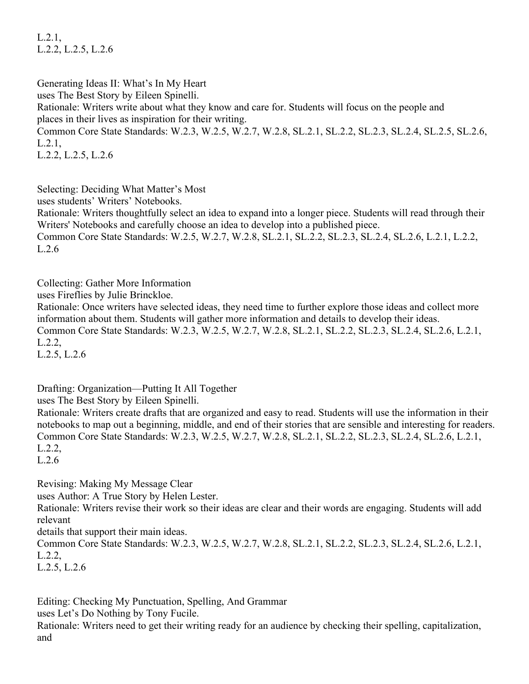L.2.1, L.2.2, L.2.5, L.2.6

Generating Ideas II: What's In My Heart uses The Best Story by Eileen Spinelli. Rationale: Writers write about what they know and care for. Students will focus on the people and places in their lives as inspiration for their writing. Common Core State Standards: W.2.3, W.2.5, W.2.7, W.2.8, SL.2.1, SL.2.2, SL.2.3, SL.2.4, SL.2.5, SL.2.6, L.2.1, L.2.2, L.2.5, L.2.6

Selecting: Deciding What Matter's Most

uses students' Writers' Notebooks.

Rationale: Writers thoughtfully select an idea to expand into a longer piece. Students will read through their Writers' Notebooks and carefully choose an idea to develop into a published piece. Common Core State Standards: W.2.5, W.2.7, W.2.8, SL.2.1, SL.2.2, SL.2.3, SL.2.4, SL.2.6, L.2.1, L.2.2, L.2.6

Collecting: Gather More Information

uses Fireflies by Julie Brinckloe.

Rationale: Once writers have selected ideas, they need time to further explore those ideas and collect more information about them. Students will gather more information and details to develop their ideas. Common Core State Standards: W.2.3, W.2.5, W.2.7, W.2.8, SL.2.1, SL.2.2, SL.2.3, SL.2.4, SL.2.6, L.2.1, L.2.2,

L.2.5, L.2.6

Drafting: Organization—Putting It All Together

uses The Best Story by Eileen Spinelli.

Rationale: Writers create drafts that are organized and easy to read. Students will use the information in their notebooks to map out a beginning, middle, and end of their stories that are sensible and interesting for readers. Common Core State Standards: W.2.3, W.2.5, W.2.7, W.2.8, SL.2.1, SL.2.2, SL.2.3, SL.2.4, SL.2.6, L.2.1, L.2.2,

L.2.6

Revising: Making My Message Clear

uses Author: A True Story by Helen Lester.

Rationale: Writers revise their work so their ideas are clear and their words are engaging. Students will add relevant

details that support their main ideas.

Common Core State Standards: W.2.3, W.2.5, W.2.7, W.2.8, SL.2.1, SL.2.2, SL.2.3, SL.2.4, SL.2.6, L.2.1, L.2.2,

L.2.5, L.2.6

Editing: Checking My Punctuation, Spelling, And Grammar

uses Let's Do Nothing by Tony Fucile.

Rationale: Writers need to get their writing ready for an audience by checking their spelling, capitalization, and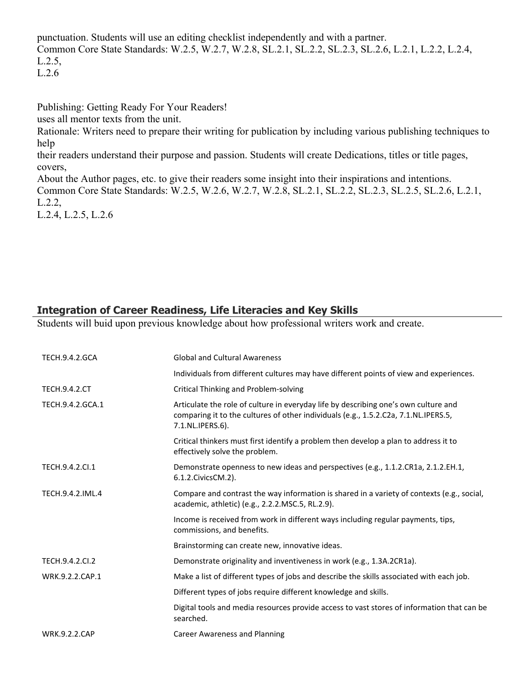punctuation. Students will use an editing checklist independently and with a partner. Common Core State Standards: W.2.5, W.2.7, W.2.8, SL.2.1, SL.2.2, SL.2.3, SL.2.6, L.2.1, L.2.2, L.2.4, L.2.5, L.2.6

Publishing: Getting Ready For Your Readers!

uses all mentor texts from the unit.

Rationale: Writers need to prepare their writing for publication by including various publishing techniques to help

their readers understand their purpose and passion. Students will create Dedications, titles or title pages, covers,

About the Author pages, etc. to give their readers some insight into their inspirations and intentions. Common Core State Standards: W.2.5, W.2.6, W.2.7, W.2.8, SL.2.1, SL.2.2, SL.2.3, SL.2.5, SL.2.6, L.2.1, L.2.2,

L.2.4, L.2.5, L.2.6

## **Integration of Career Readiness, Life Literacies and Key Skills**

Students will buid upon previous knowledge about how professional writers work and create.

| <b>TECH.9.4.2.GCA</b> | <b>Global and Cultural Awareness</b>                                                                                                                                                           |
|-----------------------|------------------------------------------------------------------------------------------------------------------------------------------------------------------------------------------------|
|                       | Individuals from different cultures may have different points of view and experiences.                                                                                                         |
| <b>TECH.9.4.2.CT</b>  | <b>Critical Thinking and Problem-solving</b>                                                                                                                                                   |
| TECH.9.4.2.GCA.1      | Articulate the role of culture in everyday life by describing one's own culture and<br>comparing it to the cultures of other individuals (e.g., 1.5.2.C2a, 7.1.NL.IPERS.5,<br>7.1.NL.IPERS.6). |
|                       | Critical thinkers must first identify a problem then develop a plan to address it to<br>effectively solve the problem.                                                                         |
| TECH.9.4.2.CI.1       | Demonstrate openness to new ideas and perspectives (e.g., 1.1.2.CR1a, 2.1.2.EH.1,<br>6.1.2. Civics CM. 2).                                                                                     |
| TECH.9.4.2.IML.4      | Compare and contrast the way information is shared in a variety of contexts (e.g., social,<br>academic, athletic) (e.g., 2.2.2.MSC.5, RL.2.9).                                                 |
|                       | Income is received from work in different ways including regular payments, tips,<br>commissions, and benefits.                                                                                 |
|                       | Brainstorming can create new, innovative ideas.                                                                                                                                                |
| TECH.9.4.2.CI.2       | Demonstrate originality and inventiveness in work (e.g., 1.3A.2CR1a).                                                                                                                          |
| WRK.9.2.2.CAP.1       | Make a list of different types of jobs and describe the skills associated with each job.                                                                                                       |
|                       | Different types of jobs require different knowledge and skills.                                                                                                                                |
|                       | Digital tools and media resources provide access to vast stores of information that can be<br>searched.                                                                                        |
| <b>WRK.9.2.2.CAP</b>  | Career Awareness and Planning                                                                                                                                                                  |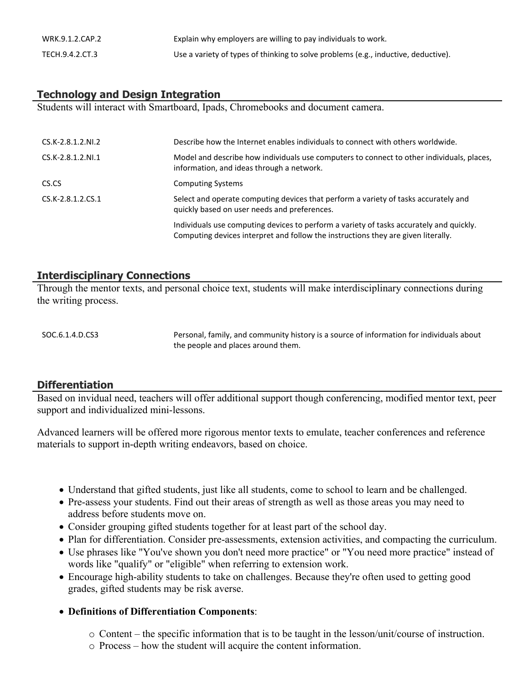| WRK.9.1.2.CAP.2 | Explain why employers are willing to pay individuals to work.                      |
|-----------------|------------------------------------------------------------------------------------|
| TECH.9.4.2.CT.3 | Use a variety of types of thinking to solve problems (e.g., inductive, deductive). |

## **Technology and Design Integration**

Students will interact with Smartboard, Ipads, Chromebooks and document camera.

| $CS.K-2.8.1.2.NL2$  | Describe how the Internet enables individuals to connect with others worldwide.                                                                                              |
|---------------------|------------------------------------------------------------------------------------------------------------------------------------------------------------------------------|
| $CS.K-2.8.1.2.NI.1$ | Model and describe how individuals use computers to connect to other individuals, places,<br>information, and ideas through a network.                                       |
| CS.CS               | <b>Computing Systems</b>                                                                                                                                                     |
| $CS.K-2.8.1.2.CS.1$ | Select and operate computing devices that perform a variety of tasks accurately and<br>quickly based on user needs and preferences.                                          |
|                     | Individuals use computing devices to perform a variety of tasks accurately and quickly.<br>Computing devices interpret and follow the instructions they are given literally. |

#### **Interdisciplinary Connections**

Through the mentor texts, and personal choice text, students will make interdisciplinary connections during the writing process.

SOC.6.1.4.D.CS3 Personal, family, and community history is a source of information for individuals about the people and places around them.

#### **Differentiation**

Based on invidual need, teachers will offer additional support though conferencing, modified mentor text, peer support and individualized mini-lessons.

Advanced learners will be offered more rigorous mentor texts to emulate, teacher conferences and reference materials to support in-depth writing endeavors, based on choice.

- Understand that gifted students, just like all students, come to school to learn and be challenged.
- Pre-assess your students. Find out their areas of strength as well as those areas you may need to address before students move on.
- Consider grouping gifted students together for at least part of the school day.
- Plan for differentiation. Consider pre-assessments, extension activities, and compacting the curriculum.
- Use phrases like "You've shown you don't need more practice" or "You need more practice" instead of words like "qualify" or "eligible" when referring to extension work.
- Encourage high-ability students to take on challenges. Because they're often used to getting good grades, gifted students may be risk averse.
- **Definitions of Differentiation Components**:
	- o Content the specific information that is to be taught in the lesson/unit/course of instruction.
	- o Process how the student will acquire the content information.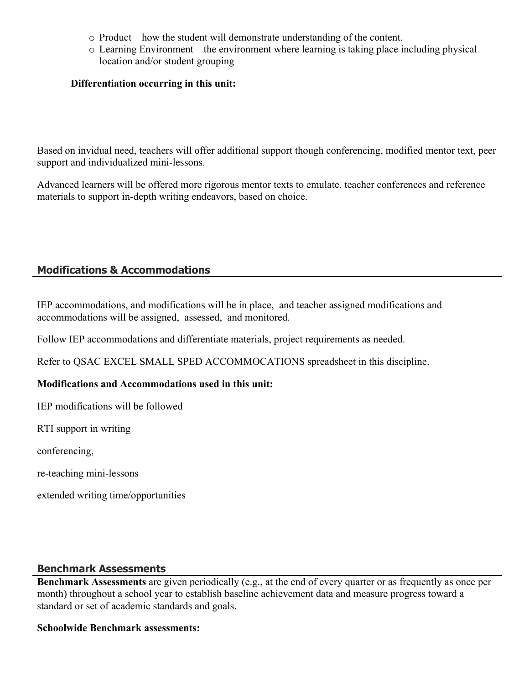- o Product how the student will demonstrate understanding of the content.
- o Learning Environment the environment where learning is taking place including physical location and/or student grouping

## **Differentiation occurring in this unit:**

Based on invidual need, teachers will offer additional support though conferencing, modified mentor text, peer support and individualized mini-lessons.

Advanced learners will be offered more rigorous mentor texts to emulate, teacher conferences and reference materials to support in-depth writing endeavors, based on choice.

# **Modifications & Accommodations**

IEP accommodations, and modifications will be in place, and teacher assigned modifications and accommodations will be assigned, assessed, and monitored.

Follow IEP accommodations and differentiate materials, project requirements as needed.

Refer to QSAC EXCEL SMALL SPED ACCOMMOCATIONS spreadsheet in this discipline.

#### **Modifications and Accommodations used in this unit:**

IEP modifications will be followed

RTI support in writing

conferencing,

re-teaching mini-lessons

extended writing time/opportunities

#### **Benchmark Assessments**

**Benchmark Assessments** are given periodically (e.g., at the end of every quarter or as frequently as once per month) throughout a school year to establish baseline achievement data and measure progress toward a standard or set of academic standards and goals.

#### **Schoolwide Benchmark assessments:**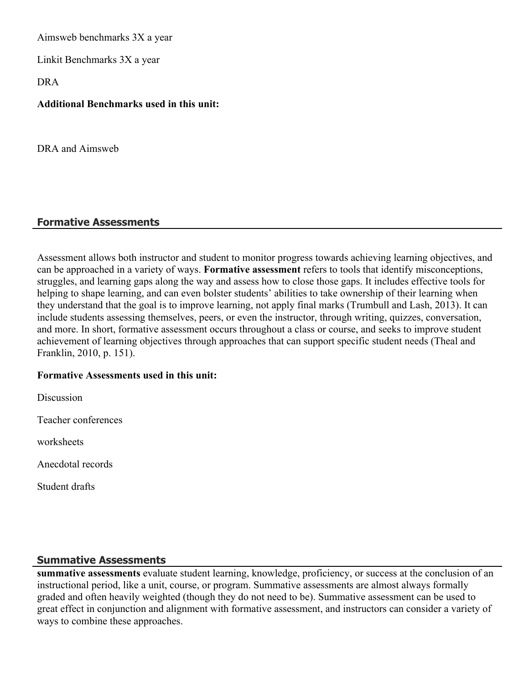Aimsweb benchmarks 3X a year

Linkit Benchmarks 3X a year

DRA

## **Additional Benchmarks used in this unit:**

DRA and Aimsweb

## **Formative Assessments**

Assessment allows both instructor and student to monitor progress towards achieving learning objectives, and can be approached in a variety of ways. **Formative assessment** refers to tools that identify misconceptions, struggles, and learning gaps along the way and assess how to close those gaps. It includes effective tools for helping to shape learning, and can even bolster students' abilities to take ownership of their learning when they understand that the goal is to improve learning, not apply final marks (Trumbull and Lash, 2013). It can include students assessing themselves, peers, or even the instructor, through writing, quizzes, conversation, and more. In short, formative assessment occurs throughout a class or course, and seeks to improve student achievement of learning objectives through approaches that can support specific student needs (Theal and Franklin, 2010, p. 151).

#### **Formative Assessments used in this unit:**

**Discussion** 

Teacher conferences

worksheets

Anecdotal records

Student drafts

#### **Summative Assessments**

**summative assessments** evaluate student learning, knowledge, proficiency, or success at the conclusion of an instructional period, like a unit, course, or program. Summative assessments are almost always formally graded and often heavily weighted (though they do not need to be). Summative assessment can be used to great effect in conjunction and alignment with formative assessment, and instructors can consider a variety of ways to combine these approaches.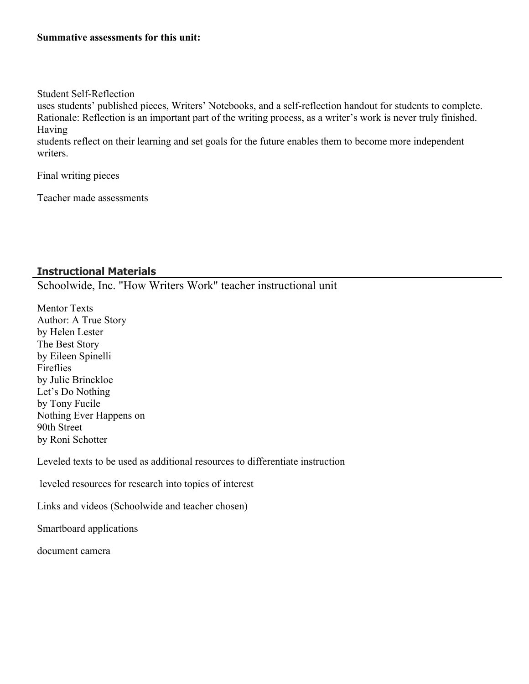#### **Summative assessments for this unit:**

#### Student Self-Reflection

uses students' published pieces, Writers' Notebooks, and a self-reflection handout for students to complete. Rationale: Reflection is an important part of the writing process, as a writer's work is never truly finished. Having

students reflect on their learning and set goals for the future enables them to become more independent writers.

Final writing pieces

Teacher made assessments

## **Instructional Materials**

Schoolwide, Inc. "How Writers Work" teacher instructional unit

Mentor Texts Author: A True Story by Helen Lester The Best Story by Eileen Spinelli Fireflies by Julie Brinckloe Let's Do Nothing by Tony Fucile Nothing Ever Happens on 90th Street by Roni Schotter

Leveled texts to be used as additional resources to differentiate instruction

leveled resources for research into topics of interest

Links and videos (Schoolwide and teacher chosen)

Smartboard applications

document camera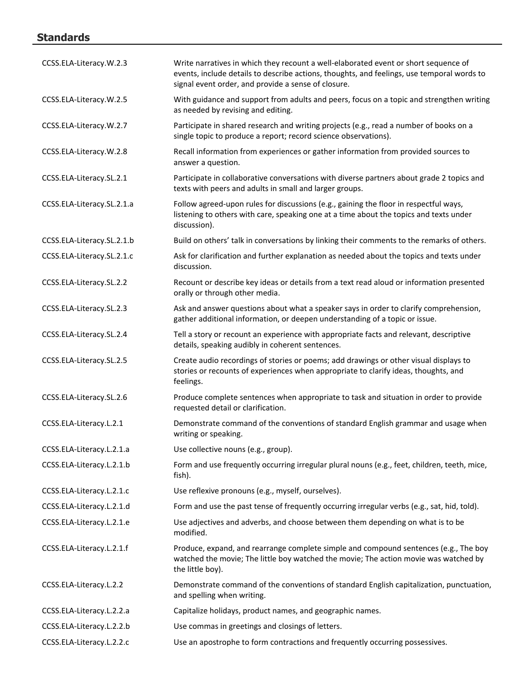# **Standards**

| CCSS.ELA-Literacy.W.2.3    | Write narratives in which they recount a well-elaborated event or short sequence of<br>events, include details to describe actions, thoughts, and feelings, use temporal words to<br>signal event order, and provide a sense of closure. |
|----------------------------|------------------------------------------------------------------------------------------------------------------------------------------------------------------------------------------------------------------------------------------|
| CCSS.ELA-Literacy.W.2.5    | With guidance and support from adults and peers, focus on a topic and strengthen writing<br>as needed by revising and editing.                                                                                                           |
| CCSS.ELA-Literacy.W.2.7    | Participate in shared research and writing projects (e.g., read a number of books on a<br>single topic to produce a report; record science observations).                                                                                |
| CCSS.ELA-Literacy.W.2.8    | Recall information from experiences or gather information from provided sources to<br>answer a question.                                                                                                                                 |
| CCSS.ELA-Literacy.SL.2.1   | Participate in collaborative conversations with diverse partners about grade 2 topics and<br>texts with peers and adults in small and larger groups.                                                                                     |
| CCSS.ELA-Literacy.SL.2.1.a | Follow agreed-upon rules for discussions (e.g., gaining the floor in respectful ways,<br>listening to others with care, speaking one at a time about the topics and texts under<br>discussion).                                          |
| CCSS.ELA-Literacy.SL.2.1.b | Build on others' talk in conversations by linking their comments to the remarks of others.                                                                                                                                               |
| CCSS.ELA-Literacy.SL.2.1.c | Ask for clarification and further explanation as needed about the topics and texts under<br>discussion.                                                                                                                                  |
| CCSS.ELA-Literacy.SL.2.2   | Recount or describe key ideas or details from a text read aloud or information presented<br>orally or through other media.                                                                                                               |
| CCSS.ELA-Literacy.SL.2.3   | Ask and answer questions about what a speaker says in order to clarify comprehension,<br>gather additional information, or deepen understanding of a topic or issue.                                                                     |
| CCSS.ELA-Literacy.SL.2.4   | Tell a story or recount an experience with appropriate facts and relevant, descriptive<br>details, speaking audibly in coherent sentences.                                                                                               |
| CCSS.ELA-Literacy.SL.2.5   | Create audio recordings of stories or poems; add drawings or other visual displays to<br>stories or recounts of experiences when appropriate to clarify ideas, thoughts, and<br>feelings.                                                |
| CCSS.ELA-Literacy.SL.2.6   | Produce complete sentences when appropriate to task and situation in order to provide<br>requested detail or clarification.                                                                                                              |
| CCSS.ELA-Literacy.L.2.1    | Demonstrate command of the conventions of standard English grammar and usage when<br>writing or speaking.                                                                                                                                |
| CCSS.ELA-Literacy.L.2.1.a  | Use collective nouns (e.g., group).                                                                                                                                                                                                      |
| CCSS.ELA-Literacy.L.2.1.b  | Form and use frequently occurring irregular plural nouns (e.g., feet, children, teeth, mice,<br>fish).                                                                                                                                   |
| CCSS.ELA-Literacy.L.2.1.c  | Use reflexive pronouns (e.g., myself, ourselves).                                                                                                                                                                                        |
| CCSS.ELA-Literacy.L.2.1.d  | Form and use the past tense of frequently occurring irregular verbs (e.g., sat, hid, told).                                                                                                                                              |
| CCSS.ELA-Literacy.L.2.1.e  | Use adjectives and adverbs, and choose between them depending on what is to be<br>modified.                                                                                                                                              |
| CCSS.ELA-Literacy.L.2.1.f  | Produce, expand, and rearrange complete simple and compound sentences (e.g., The boy<br>watched the movie; The little boy watched the movie; The action movie was watched by<br>the little boy).                                         |
| CCSS.ELA-Literacy.L.2.2    | Demonstrate command of the conventions of standard English capitalization, punctuation,<br>and spelling when writing.                                                                                                                    |
| CCSS.ELA-Literacy.L.2.2.a  | Capitalize holidays, product names, and geographic names.                                                                                                                                                                                |
| CCSS.ELA-Literacy.L.2.2.b  | Use commas in greetings and closings of letters.                                                                                                                                                                                         |
| CCSS.ELA-Literacy.L.2.2.c  | Use an apostrophe to form contractions and frequently occurring possessives.                                                                                                                                                             |